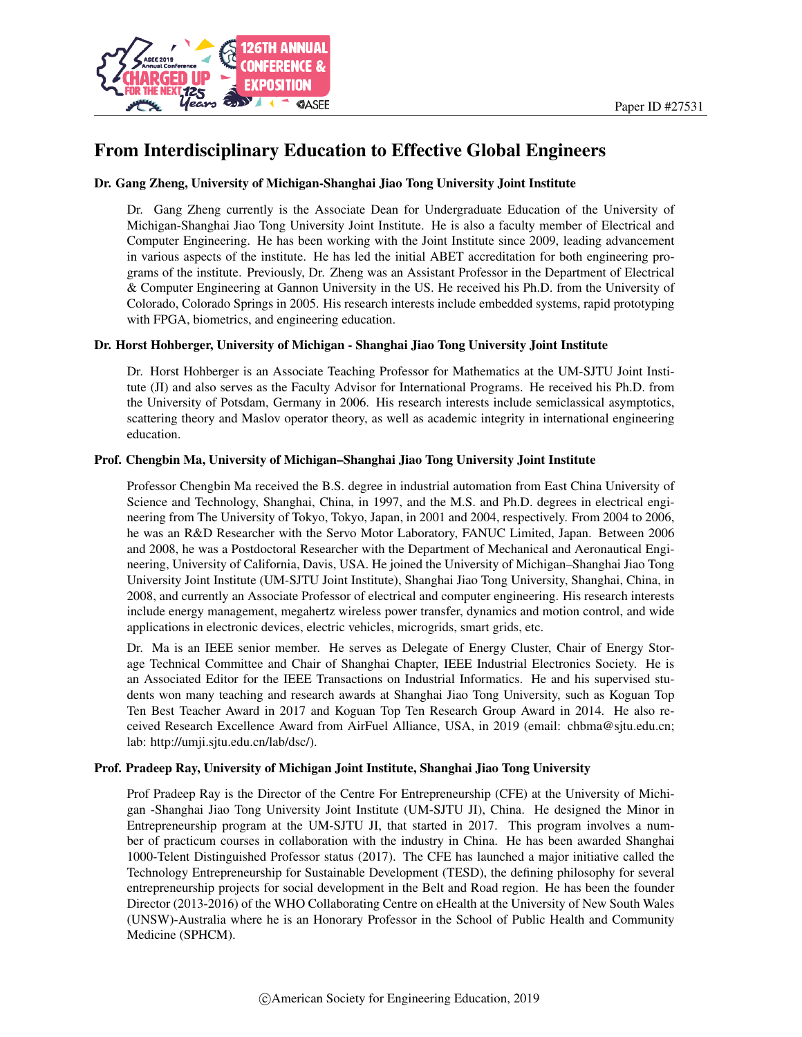

# From Interdisciplinary Education to Effective Global Engineers

#### Dr. Gang Zheng, University of Michigan-Shanghai Jiao Tong University Joint Institute

Dr. Gang Zheng currently is the Associate Dean for Undergraduate Education of the University of Michigan-Shanghai Jiao Tong University Joint Institute. He is also a faculty member of Electrical and Computer Engineering. He has been working with the Joint Institute since 2009, leading advancement in various aspects of the institute. He has led the initial ABET accreditation for both engineering programs of the institute. Previously, Dr. Zheng was an Assistant Professor in the Department of Electrical & Computer Engineering at Gannon University in the US. He received his Ph.D. from the University of Colorado, Colorado Springs in 2005. His research interests include embedded systems, rapid prototyping with FPGA, biometrics, and engineering education.

#### Dr. Horst Hohberger, University of Michigan - Shanghai Jiao Tong University Joint Institute

Dr. Horst Hohberger is an Associate Teaching Professor for Mathematics at the UM-SJTU Joint Institute (JI) and also serves as the Faculty Advisor for International Programs. He received his Ph.D. from the University of Potsdam, Germany in 2006. His research interests include semiclassical asymptotics, scattering theory and Maslov operator theory, as well as academic integrity in international engineering education.

#### Prof. Chengbin Ma, University of Michigan–Shanghai Jiao Tong University Joint Institute

Professor Chengbin Ma received the B.S. degree in industrial automation from East China University of Science and Technology, Shanghai, China, in 1997, and the M.S. and Ph.D. degrees in electrical engineering from The University of Tokyo, Tokyo, Japan, in 2001 and 2004, respectively. From 2004 to 2006, he was an R&D Researcher with the Servo Motor Laboratory, FANUC Limited, Japan. Between 2006 and 2008, he was a Postdoctoral Researcher with the Department of Mechanical and Aeronautical Engineering, University of California, Davis, USA. He joined the University of Michigan–Shanghai Jiao Tong University Joint Institute (UM-SJTU Joint Institute), Shanghai Jiao Tong University, Shanghai, China, in 2008, and currently an Associate Professor of electrical and computer engineering. His research interests include energy management, megahertz wireless power transfer, dynamics and motion control, and wide applications in electronic devices, electric vehicles, microgrids, smart grids, etc.

Dr. Ma is an IEEE senior member. He serves as Delegate of Energy Cluster, Chair of Energy Storage Technical Committee and Chair of Shanghai Chapter, IEEE Industrial Electronics Society. He is an Associated Editor for the IEEE Transactions on Industrial Informatics. He and his supervised students won many teaching and research awards at Shanghai Jiao Tong University, such as Koguan Top Ten Best Teacher Award in 2017 and Koguan Top Ten Research Group Award in 2014. He also received Research Excellence Award from AirFuel Alliance, USA, in 2019 (email: chbma@sjtu.edu.cn; lab: http://umji.sjtu.edu.cn/lab/dsc/).

#### Prof. Pradeep Ray, University of Michigan Joint Institute, Shanghai Jiao Tong University

Prof Pradeep Ray is the Director of the Centre For Entrepreneurship (CFE) at the University of Michigan -Shanghai Jiao Tong University Joint Institute (UM-SJTU JI), China. He designed the Minor in Entrepreneurship program at the UM-SJTU JI, that started in 2017. This program involves a number of practicum courses in collaboration with the industry in China. He has been awarded Shanghai 1000-Telent Distinguished Professor status (2017). The CFE has launched a major initiative called the Technology Entrepreneurship for Sustainable Development (TESD), the defining philosophy for several entrepreneurship projects for social development in the Belt and Road region. He has been the founder Director (2013-2016) of the WHO Collaborating Centre on eHealth at the University of New South Wales (UNSW)-Australia where he is an Honorary Professor in the School of Public Health and Community Medicine (SPHCM).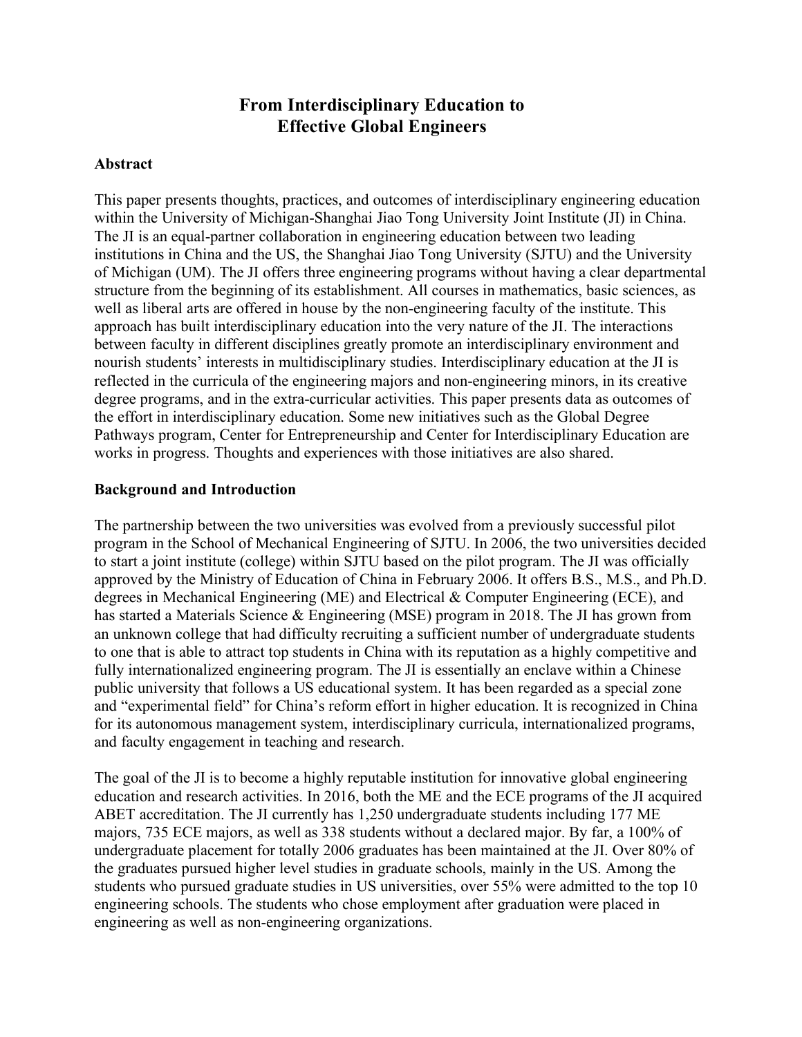# **From Interdisciplinary Education to Effective Global Engineers**

### **Abstract**

This paper presents thoughts, practices, and outcomes of interdisciplinary engineering education within the University of Michigan-Shanghai Jiao Tong University Joint Institute (JI) in China. The JI is an equal-partner collaboration in engineering education between two leading institutions in China and the US, the Shanghai Jiao Tong University (SJTU) and the University of Michigan (UM). The JI offers three engineering programs without having a clear departmental structure from the beginning of its establishment. All courses in mathematics, basic sciences, as well as liberal arts are offered in house by the non-engineering faculty of the institute. This approach has built interdisciplinary education into the very nature of the JI. The interactions between faculty in different disciplines greatly promote an interdisciplinary environment and nourish students' interests in multidisciplinary studies. Interdisciplinary education at the JI is reflected in the curricula of the engineering majors and non-engineering minors, in its creative degree programs, and in the extra-curricular activities. This paper presents data as outcomes of the effort in interdisciplinary education. Some new initiatives such as the Global Degree Pathways program, Center for Entrepreneurship and Center for Interdisciplinary Education are works in progress. Thoughts and experiences with those initiatives are also shared.

### **Background and Introduction**

The partnership between the two universities was evolved from a previously successful pilot program in the School of Mechanical Engineering of SJTU. In 2006, the two universities decided to start a joint institute (college) within SJTU based on the pilot program. The JI was officially approved by the Ministry of Education of China in February 2006. It offers B.S., M.S., and Ph.D. degrees in Mechanical Engineering (ME) and Electrical & Computer Engineering (ECE), and has started a Materials Science & Engineering (MSE) program in 2018. The JI has grown from an unknown college that had difficulty recruiting a sufficient number of undergraduate students to one that is able to attract top students in China with its reputation as a highly competitive and fully internationalized engineering program. The JI is essentially an enclave within a Chinese public university that follows a US educational system. It has been regarded as a special zone and "experimental field" for China's reform effort in higher education. It is recognized in China for its autonomous management system, interdisciplinary curricula, internationalized programs, and faculty engagement in teaching and research.

The goal of the JI is to become a highly reputable institution for innovative global engineering education and research activities. In 2016, both the ME and the ECE programs of the JI acquired ABET accreditation. The JI currently has 1,250 undergraduate students including 177 ME majors, 735 ECE majors, as well as 338 students without a declared major. By far, a 100% of undergraduate placement for totally 2006 graduates has been maintained at the JI. Over 80% of the graduates pursued higher level studies in graduate schools, mainly in the US. Among the students who pursued graduate studies in US universities, over 55% were admitted to the top 10 engineering schools. The students who chose employment after graduation were placed in engineering as well as non-engineering organizations.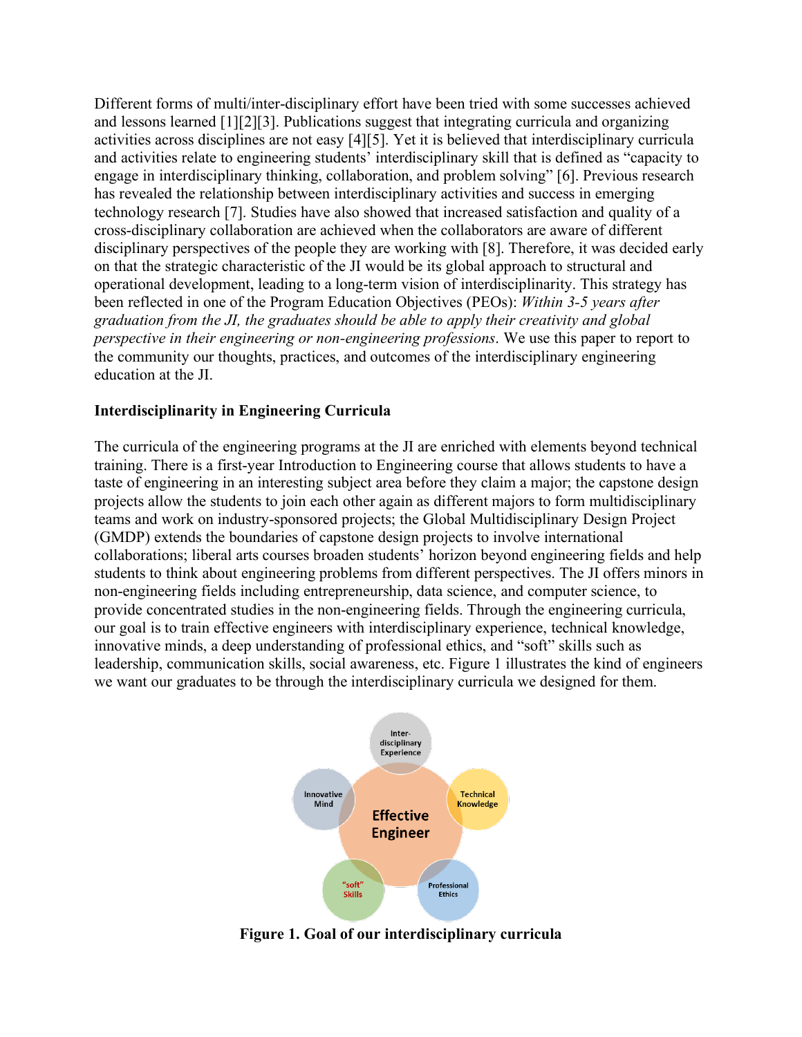Different forms of multi/inter-disciplinary effort have been tried with some successes achieved and lessons learned [1][2][3]. Publications suggest that integrating curricula and organizing activities across disciplines are not easy [4][5]. Yet it is believed that interdisciplinary curricula and activities relate to engineering students' interdisciplinary skill that is defined as "capacity to engage in interdisciplinary thinking, collaboration, and problem solving" [6]. Previous research has revealed the relationship between interdisciplinary activities and success in emerging technology research [7]. Studies have also showed that increased satisfaction and quality of a cross-disciplinary collaboration are achieved when the collaborators are aware of different disciplinary perspectives of the people they are working with [8]. Therefore, it was decided early on that the strategic characteristic of the JI would be its global approach to structural and operational development, leading to a long-term vision of interdisciplinarity. This strategy has been reflected in one of the Program Education Objectives (PEOs): *Within 3-5 years after graduation from the JI, the graduates should be able to apply their creativity and global perspective in their engineering or non-engineering professions*. We use this paper to report to the community our thoughts, practices, and outcomes of the interdisciplinary engineering education at the JI.

#### **Interdisciplinarity in Engineering Curricula**

The curricula of the engineering programs at the JI are enriched with elements beyond technical training. There is a first-year Introduction to Engineering course that allows students to have a taste of engineering in an interesting subject area before they claim a major; the capstone design projects allow the students to join each other again as different majors to form multidisciplinary teams and work on industry-sponsored projects; the Global Multidisciplinary Design Project (GMDP) extends the boundaries of capstone design projects to involve international collaborations; liberal arts courses broaden students' horizon beyond engineering fields and help students to think about engineering problems from different perspectives. The JI offers minors in non-engineering fields including entrepreneurship, data science, and computer science, to provide concentrated studies in the non-engineering fields. Through the engineering curricula, our goal is to train effective engineers with interdisciplinary experience, technical knowledge, innovative minds, a deep understanding of professional ethics, and "soft" skills such as leadership, communication skills, social awareness, etc. Figure 1 illustrates the kind of engineers we want our graduates to be through the interdisciplinary curricula we designed for them.



**Figure 1. Goal of our interdisciplinary curricula**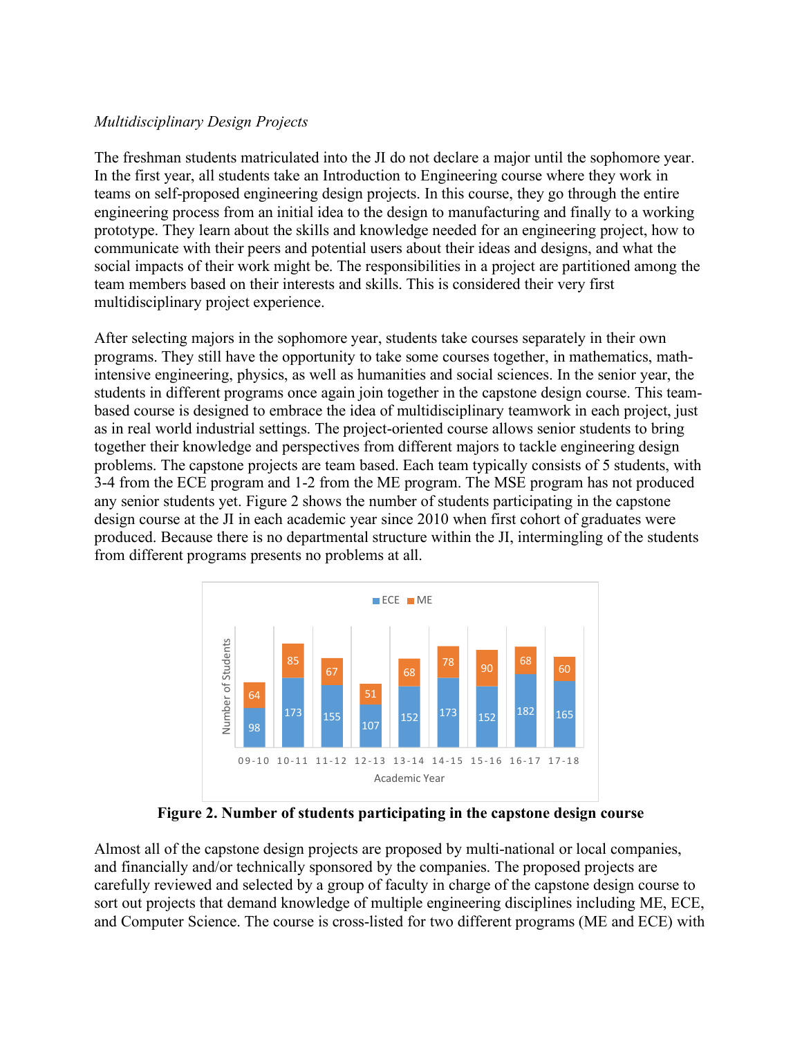### *Multidisciplinary Design Projects*

The freshman students matriculated into the JI do not declare a major until the sophomore year. In the first year, all students take an Introduction to Engineering course where they work in teams on self-proposed engineering design projects. In this course, they go through the entire engineering process from an initial idea to the design to manufacturing and finally to a working prototype. They learn about the skills and knowledge needed for an engineering project, how to communicate with their peers and potential users about their ideas and designs, and what the social impacts of their work might be. The responsibilities in a project are partitioned among the team members based on their interests and skills. This is considered their very first multidisciplinary project experience.

After selecting majors in the sophomore year, students take courses separately in their own programs. They still have the opportunity to take some courses together, in mathematics, mathintensive engineering, physics, as well as humanities and social sciences. In the senior year, the students in different programs once again join together in the capstone design course. This teambased course is designed to embrace the idea of multidisciplinary teamwork in each project, just as in real world industrial settings. The project-oriented course allows senior students to bring together their knowledge and perspectives from different majors to tackle engineering design problems. The capstone projects are team based. Each team typically consists of 5 students, with 3-4 from the ECE program and 1-2 from the ME program. The MSE program has not produced any senior students yet. Figure 2 shows the number of students participating in the capstone design course at the JI in each academic year since 2010 when first cohort of graduates were produced. Because there is no departmental structure within the JI, intermingling of the students from different programs presents no problems at all.



**Figure 2. Number of students participating in the capstone design course**

Almost all of the capstone design projects are proposed by multi-national or local companies, and financially and/or technically sponsored by the companies. The proposed projects are carefully reviewed and selected by a group of faculty in charge of the capstone design course to sort out projects that demand knowledge of multiple engineering disciplines including ME, ECE, and Computer Science. The course is cross-listed for two different programs (ME and ECE) with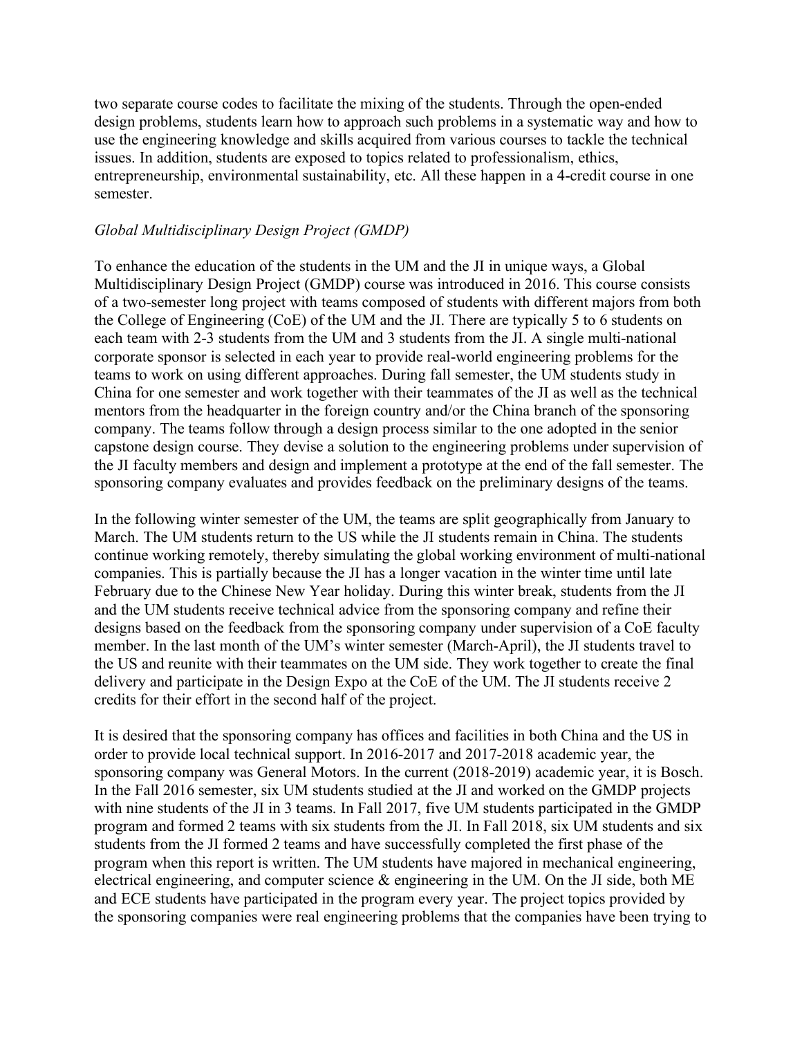two separate course codes to facilitate the mixing of the students. Through the open-ended design problems, students learn how to approach such problems in a systematic way and how to use the engineering knowledge and skills acquired from various courses to tackle the technical issues. In addition, students are exposed to topics related to professionalism, ethics, entrepreneurship, environmental sustainability, etc. All these happen in a 4-credit course in one semester.

#### *Global Multidisciplinary Design Project (GMDP)*

To enhance the education of the students in the UM and the JI in unique ways, a Global Multidisciplinary Design Project (GMDP) course was introduced in 2016. This course consists of a two-semester long project with teams composed of students with different majors from both the College of Engineering (CoE) of the UM and the JI. There are typically 5 to 6 students on each team with 2-3 students from the UM and 3 students from the JI. A single multi-national corporate sponsor is selected in each year to provide real-world engineering problems for the teams to work on using different approaches. During fall semester, the UM students study in China for one semester and work together with their teammates of the JI as well as the technical mentors from the headquarter in the foreign country and/or the China branch of the sponsoring company. The teams follow through a design process similar to the one adopted in the senior capstone design course. They devise a solution to the engineering problems under supervision of the JI faculty members and design and implement a prototype at the end of the fall semester. The sponsoring company evaluates and provides feedback on the preliminary designs of the teams.

In the following winter semester of the UM, the teams are split geographically from January to March. The UM students return to the US while the JI students remain in China. The students continue working remotely, thereby simulating the global working environment of multi-national companies. This is partially because the JI has a longer vacation in the winter time until late February due to the Chinese New Year holiday. During this winter break, students from the JI and the UM students receive technical advice from the sponsoring company and refine their designs based on the feedback from the sponsoring company under supervision of a CoE faculty member. In the last month of the UM's winter semester (March-April), the JI students travel to the US and reunite with their teammates on the UM side. They work together to create the final delivery and participate in the Design Expo at the CoE of the UM. The JI students receive 2 credits for their effort in the second half of the project.

It is desired that the sponsoring company has offices and facilities in both China and the US in order to provide local technical support. In 2016-2017 and 2017-2018 academic year, the sponsoring company was General Motors. In the current (2018-2019) academic year, it is Bosch. In the Fall 2016 semester, six UM students studied at the JI and worked on the GMDP projects with nine students of the JI in 3 teams. In Fall 2017, five UM students participated in the GMDP program and formed 2 teams with six students from the JI. In Fall 2018, six UM students and six students from the JI formed 2 teams and have successfully completed the first phase of the program when this report is written. The UM students have majored in mechanical engineering, electrical engineering, and computer science  $\&$  engineering in the UM. On the JI side, both ME and ECE students have participated in the program every year. The project topics provided by the sponsoring companies were real engineering problems that the companies have been trying to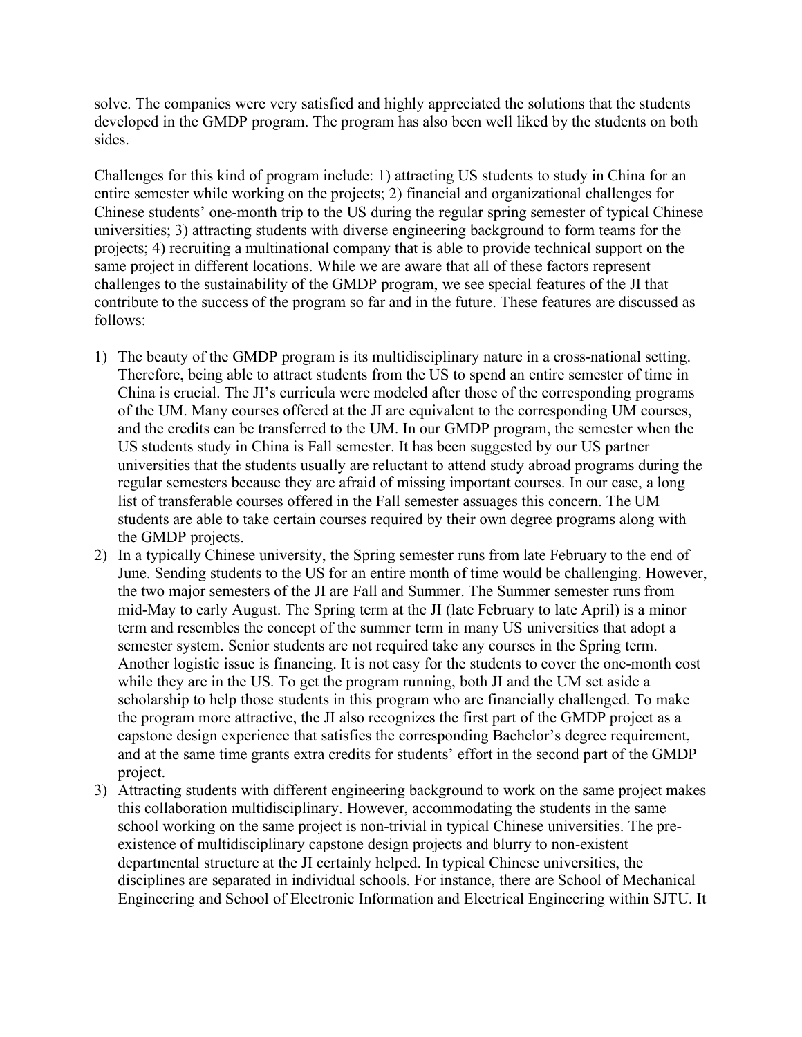solve. The companies were very satisfied and highly appreciated the solutions that the students developed in the GMDP program. The program has also been well liked by the students on both sides.

Challenges for this kind of program include: 1) attracting US students to study in China for an entire semester while working on the projects; 2) financial and organizational challenges for Chinese students' one-month trip to the US during the regular spring semester of typical Chinese universities; 3) attracting students with diverse engineering background to form teams for the projects; 4) recruiting a multinational company that is able to provide technical support on the same project in different locations. While we are aware that all of these factors represent challenges to the sustainability of the GMDP program, we see special features of the JI that contribute to the success of the program so far and in the future. These features are discussed as follows:

- 1) The beauty of the GMDP program is its multidisciplinary nature in a cross-national setting. Therefore, being able to attract students from the US to spend an entire semester of time in China is crucial. The JI's curricula were modeled after those of the corresponding programs of the UM. Many courses offered at the JI are equivalent to the corresponding UM courses, and the credits can be transferred to the UM. In our GMDP program, the semester when the US students study in China is Fall semester. It has been suggested by our US partner universities that the students usually are reluctant to attend study abroad programs during the regular semesters because they are afraid of missing important courses. In our case, a long list of transferable courses offered in the Fall semester assuages this concern. The UM students are able to take certain courses required by their own degree programs along with the GMDP projects.
- 2) In a typically Chinese university, the Spring semester runs from late February to the end of June. Sending students to the US for an entire month of time would be challenging. However, the two major semesters of the JI are Fall and Summer. The Summer semester runs from mid-May to early August. The Spring term at the JI (late February to late April) is a minor term and resembles the concept of the summer term in many US universities that adopt a semester system. Senior students are not required take any courses in the Spring term. Another logistic issue is financing. It is not easy for the students to cover the one-month cost while they are in the US. To get the program running, both JI and the UM set aside a scholarship to help those students in this program who are financially challenged. To make the program more attractive, the JI also recognizes the first part of the GMDP project as a capstone design experience that satisfies the corresponding Bachelor's degree requirement, and at the same time grants extra credits for students' effort in the second part of the GMDP project.
- 3) Attracting students with different engineering background to work on the same project makes this collaboration multidisciplinary. However, accommodating the students in the same school working on the same project is non-trivial in typical Chinese universities. The preexistence of multidisciplinary capstone design projects and blurry to non-existent departmental structure at the JI certainly helped. In typical Chinese universities, the disciplines are separated in individual schools. For instance, there are School of Mechanical Engineering and School of Electronic Information and Electrical Engineering within SJTU. It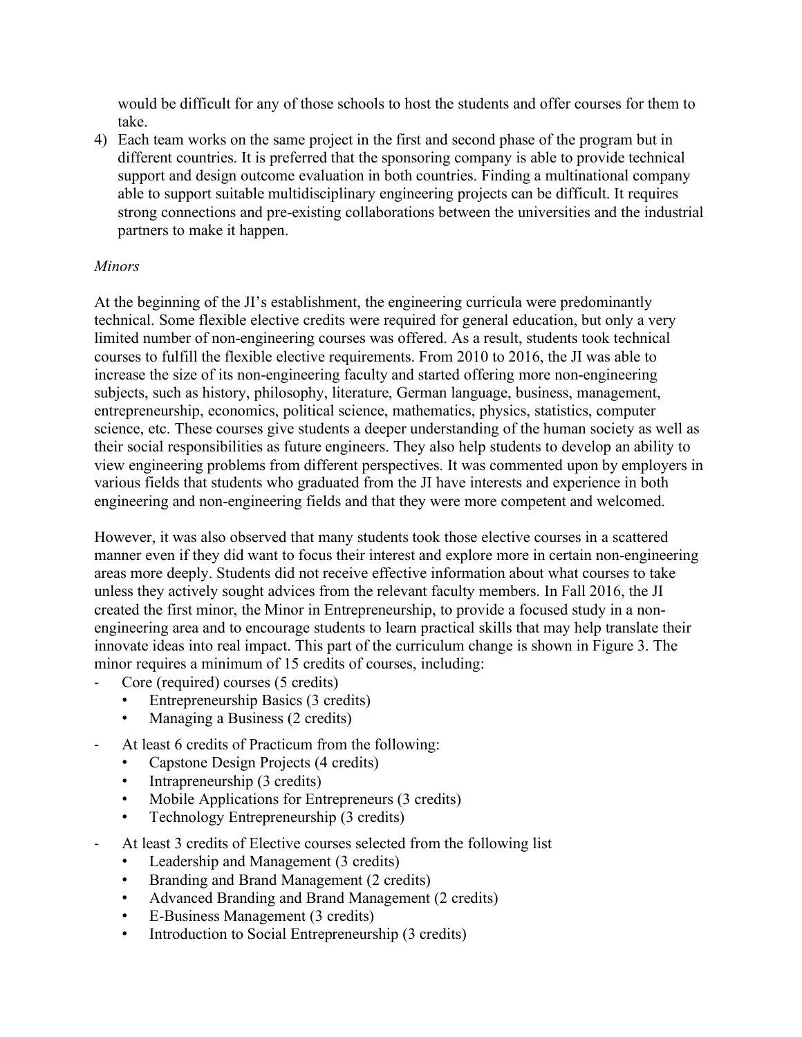would be difficult for any of those schools to host the students and offer courses for them to take.

4) Each team works on the same project in the first and second phase of the program but in different countries. It is preferred that the sponsoring company is able to provide technical support and design outcome evaluation in both countries. Finding a multinational company able to support suitable multidisciplinary engineering projects can be difficult. It requires strong connections and pre-existing collaborations between the universities and the industrial partners to make it happen.

# *Minors*

At the beginning of the JI's establishment, the engineering curricula were predominantly technical. Some flexible elective credits were required for general education, but only a very limited number of non-engineering courses was offered. As a result, students took technical courses to fulfill the flexible elective requirements. From 2010 to 2016, the JI was able to increase the size of its non-engineering faculty and started offering more non-engineering subjects, such as history, philosophy, literature, German language, business, management, entrepreneurship, economics, political science, mathematics, physics, statistics, computer science, etc. These courses give students a deeper understanding of the human society as well as their social responsibilities as future engineers. They also help students to develop an ability to view engineering problems from different perspectives. It was commented upon by employers in various fields that students who graduated from the JI have interests and experience in both engineering and non-engineering fields and that they were more competent and welcomed.

However, it was also observed that many students took those elective courses in a scattered manner even if they did want to focus their interest and explore more in certain non-engineering areas more deeply. Students did not receive effective information about what courses to take unless they actively sought advices from the relevant faculty members. In Fall 2016, the JI created the first minor, the Minor in Entrepreneurship, to provide a focused study in a nonengineering area and to encourage students to learn practical skills that may help translate their innovate ideas into real impact. This part of the curriculum change is shown in Figure 3. The minor requires a minimum of 15 credits of courses, including:

- Core (required) courses (5 credits)
	- Entrepreneurship Basics (3 credits)
	- Managing a Business (2 credits)
- At least 6 credits of Practicum from the following:
	- Capstone Design Projects (4 credits)
	- Intrapreneurship (3 credits)
	- Mobile Applications for Entrepreneurs (3 credits)
	- Technology Entrepreneurship (3 credits)
- At least 3 credits of Elective courses selected from the following list
	- Leadership and Management (3 credits)
	- Branding and Brand Management (2 credits)
	- Advanced Branding and Brand Management (2 credits)
	- E-Business Management (3 credits)
	- Introduction to Social Entrepreneurship (3 credits)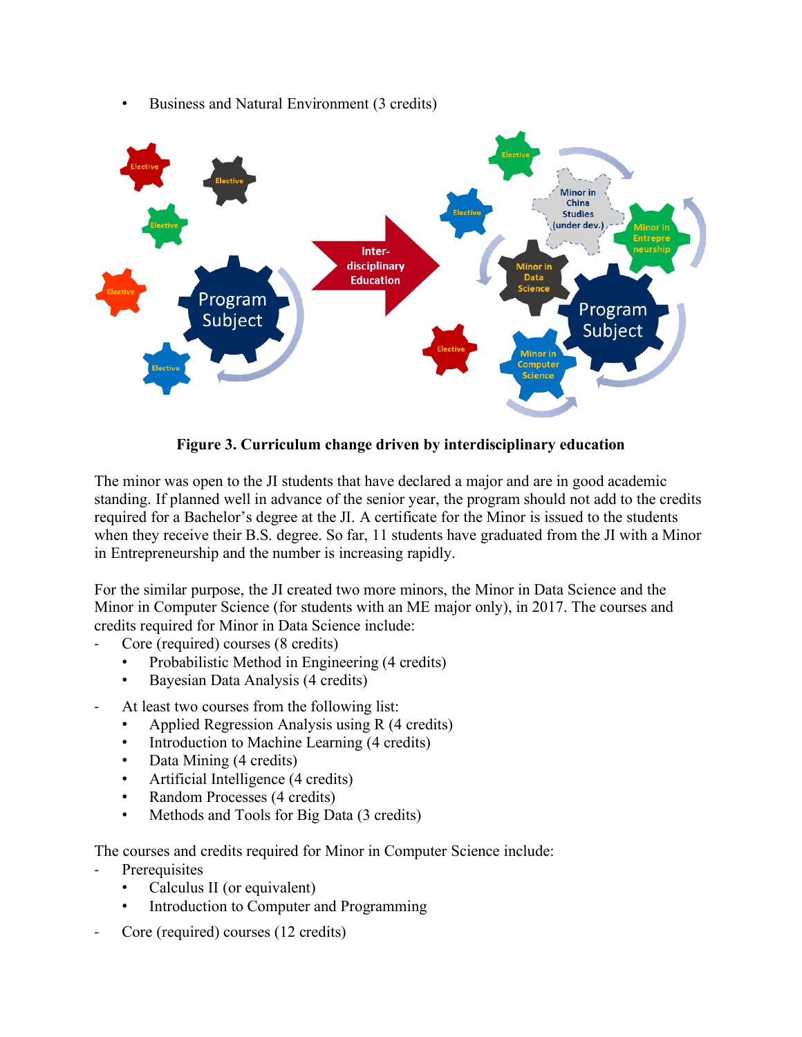

• Business and Natural Environment (3 credits)

**Figure 3. Curriculum change driven by interdisciplinary education**

The minor was open to the JI students that have declared a major and are in good academic standing. If planned well in advance of the senior year, the program should not add to the credits required for a Bachelor's degree at the JI. A certificate for the Minor is issued to the students when they receive their B.S. degree. So far, 11 students have graduated from the JI with a Minor in Entrepreneurship and the number is increasing rapidly.

For the similar purpose, the JI created two more minors, the Minor in Data Science and the Minor in Computer Science (for students with an ME major only), in 2017. The courses and credits required for Minor in Data Science include:

- Core (required) courses (8 credits)
	- Probabilistic Method in Engineering (4 credits)
	- Bayesian Data Analysis (4 credits)
- At least two courses from the following list:
	- Applied Regression Analysis using R (4 credits)
	- Introduction to Machine Learning (4 credits)
	- Data Mining (4 credits)
	- Artificial Intelligence (4 credits)
	- Random Processes (4 credits)
	- Methods and Tools for Big Data (3 credits)

The courses and credits required for Minor in Computer Science include:

- **Prerequisites** 
	- Calculus II (or equivalent)
	- Introduction to Computer and Programming
- Core (required) courses (12 credits)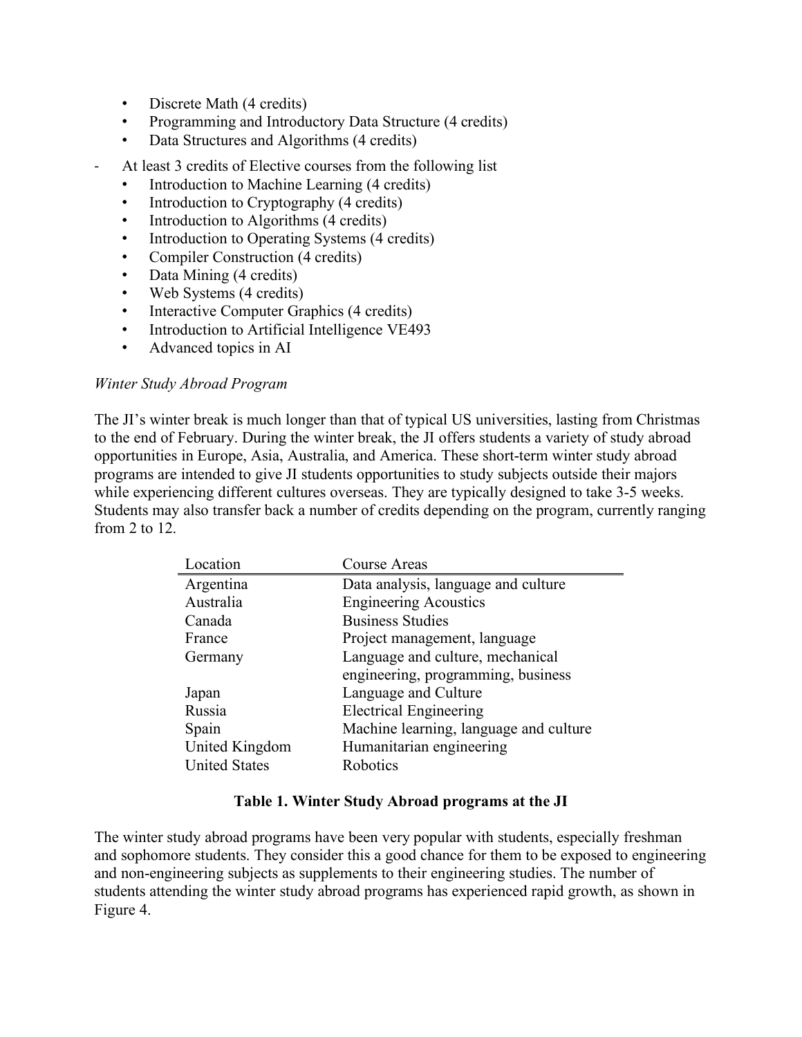- Discrete Math (4 credits)
- Programming and Introductory Data Structure (4 credits)
- Data Structures and Algorithms (4 credits)
- At least 3 credits of Elective courses from the following list
	- Introduction to Machine Learning (4 credits)
	- Introduction to Cryptography (4 credits)
	- Introduction to Algorithms (4 credits)
	- Introduction to Operating Systems (4 credits)
	- Compiler Construction (4 credits)
	- Data Mining (4 credits)
	- Web Systems (4 credits)
	- Interactive Computer Graphics (4 credits)
	- Introduction to Artificial Intelligence VE493
	- Advanced topics in AI

#### *Winter Study Abroad Program*

The JI's winter break is much longer than that of typical US universities, lasting from Christmas to the end of February. During the winter break, the JI offers students a variety of study abroad opportunities in Europe, Asia, Australia, and America. These short-term winter study abroad programs are intended to give JI students opportunities to study subjects outside their majors while experiencing different cultures overseas. They are typically designed to take 3-5 weeks. Students may also transfer back a number of credits depending on the program, currently ranging from 2 to  $12$ .

| Location             | Course Areas                           |
|----------------------|----------------------------------------|
| Argentina            | Data analysis, language and culture    |
| Australia            | <b>Engineering Acoustics</b>           |
| Canada               | <b>Business Studies</b>                |
| France               | Project management, language           |
| Germany              | Language and culture, mechanical       |
|                      | engineering, programming, business     |
| Japan                | Language and Culture                   |
| Russia               | <b>Electrical Engineering</b>          |
| Spain                | Machine learning, language and culture |
| United Kingdom       | Humanitarian engineering               |
| <b>United States</b> | Robotics                               |

#### **Table 1. Winter Study Abroad programs at the JI**

The winter study abroad programs have been very popular with students, especially freshman and sophomore students. They consider this a good chance for them to be exposed to engineering and non-engineering subjects as supplements to their engineering studies. The number of students attending the winter study abroad programs has experienced rapid growth, as shown in Figure 4.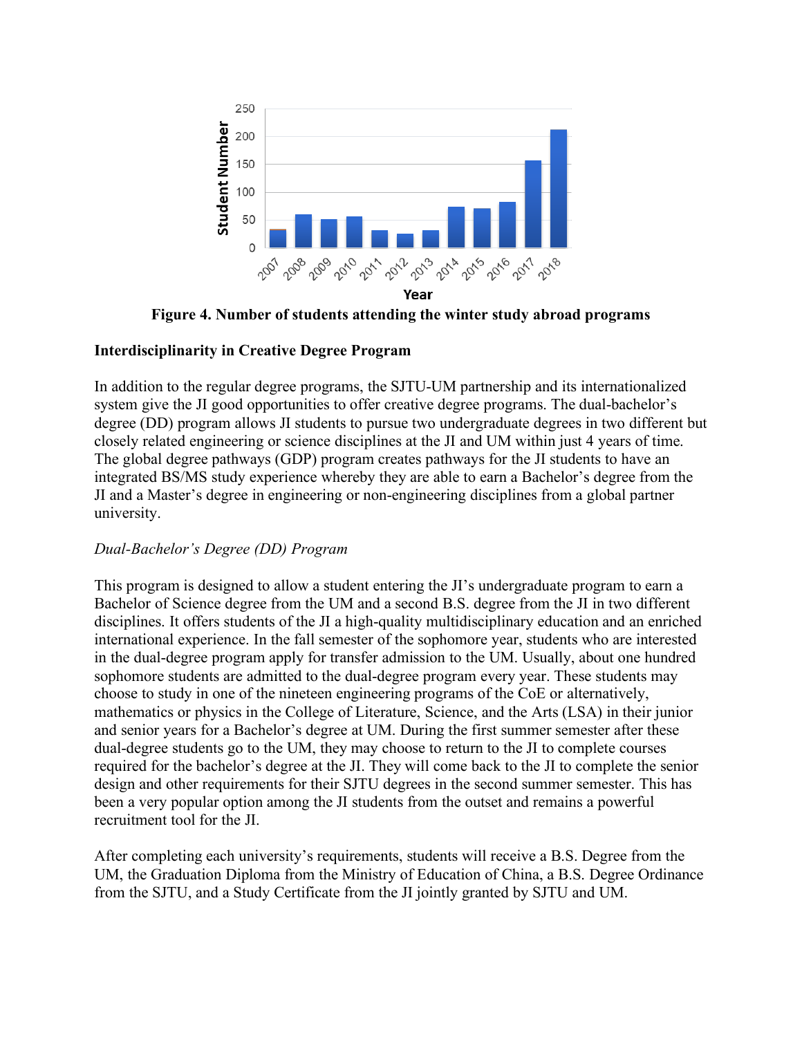

**Figure 4. Number of students attending the winter study abroad programs**

# **Interdisciplinarity in Creative Degree Program**

In addition to the regular degree programs, the SJTU-UM partnership and its internationalized system give the JI good opportunities to offer creative degree programs. The dual-bachelor's degree (DD) program allows JI students to pursue two undergraduate degrees in two different but closely related engineering or science disciplines at the JI and UM within just 4 years of time. The global degree pathways (GDP) program creates pathways for the JI students to have an integrated BS/MS study experience whereby they are able to earn a Bachelor's degree from the JI and a Master's degree in engineering or non-engineering disciplines from a global partner university.

# *Dual-Bachelor's Degree (DD) Program*

This program is designed to allow a student entering the JI's undergraduate program to earn a Bachelor of Science degree from the UM and a second B.S. degree from the JI in two different disciplines. It offers students of the JI a high-quality multidisciplinary education and an enriched international experience. In the fall semester of the sophomore year, students who are interested in the dual-degree program apply for transfer admission to the UM. Usually, about one hundred sophomore students are admitted to the dual-degree program every year. These students may choose to study in one of the nineteen engineering programs of the CoE or alternatively, mathematics or physics in the College of Literature, Science, and the Arts (LSA) in their junior and senior years for a Bachelor's degree at UM. During the first summer semester after these dual-degree students go to the UM, they may choose to return to the JI to complete courses required for the bachelor's degree at the JI. They will come back to the JI to complete the senior design and other requirements for their SJTU degrees in the second summer semester. This has been a very popular option among the JI students from the outset and remains a powerful recruitment tool for the JI.

After completing each university's requirements, students will receive a B.S. Degree from the UM, the Graduation Diploma from the Ministry of Education of China, a B.S. Degree Ordinance from the SJTU, and a Study Certificate from the JI jointly granted by SJTU and UM.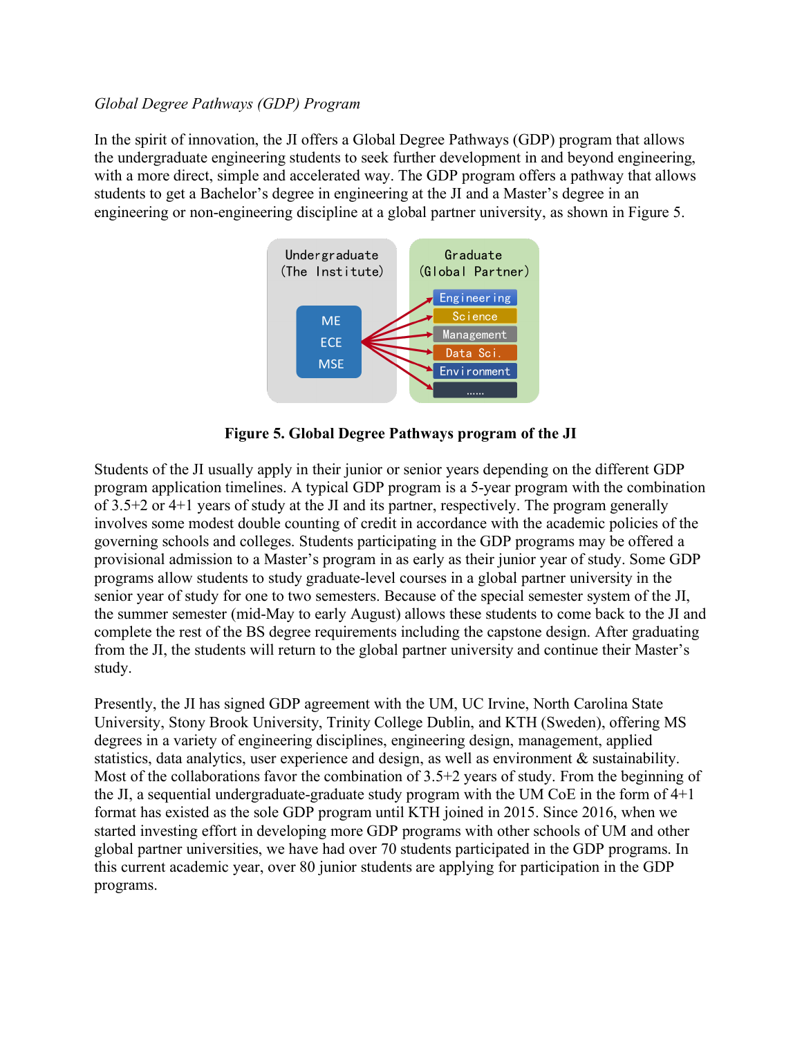### *Global Degree Pathways (GDP) Program*

In the spirit of innovation, the JI offers a Global Degree Pathways (GDP) program that allows the undergraduate engineering students to seek further development in and beyond engineering, with a more direct, simple and accelerated way. The GDP program offers a pathway that allows students to get a Bachelor's degree in engineering at the JI and a Master's degree in an engineering or non-engineering discipline at a global partner university, as shown in Figure 5.



**Figure 5. Global Degree Pathways program of the JI**

Students of the JI usually apply in their junior or senior years depending on the different GDP program application timelines. A typical GDP program is a 5-year program with the combination of 3.5+2 or 4+1 years of study at the JI and its partner, respectively. The program generally involves some modest double counting of credit in accordance with the academic policies of the governing schools and colleges. Students participating in the GDP programs may be offered a provisional admission to a Master's program in as early as their junior year of study. Some GDP programs allow students to study graduate-level courses in a global partner university in the senior year of study for one to two semesters. Because of the special semester system of the JI, the summer semester (mid-May to early August) allows these students to come back to the JI and complete the rest of the BS degree requirements including the capstone design. After graduating from the JI, the students will return to the global partner university and continue their Master's study.

Presently, the JI has signed GDP agreement with the UM, UC Irvine, North Carolina State University, Stony Brook University, Trinity College Dublin, and KTH (Sweden), offering MS degrees in a variety of engineering disciplines, engineering design, management, applied statistics, data analytics, user experience and design, as well as environment & sustainability. Most of the collaborations favor the combination of 3.5+2 years of study. From the beginning of the JI, a sequential undergraduate-graduate study program with the UM CoE in the form of 4+1 format has existed as the sole GDP program until KTH joined in 2015. Since 2016, when we started investing effort in developing more GDP programs with other schools of UM and other global partner universities, we have had over 70 students participated in the GDP programs. In this current academic year, over 80 junior students are applying for participation in the GDP programs.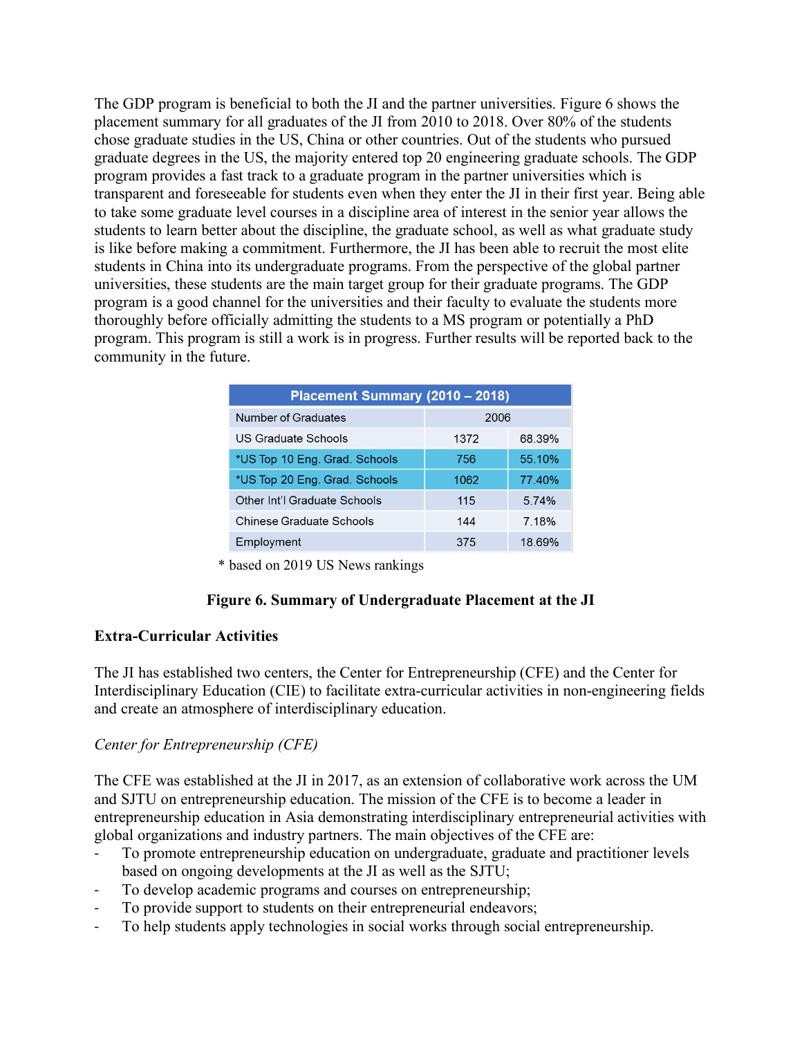The GDP program is beneficial to both the JI and the partner universities. Figure 6 shows the placement summary for all graduates of the JI from 2010 to 2018. Over 80% of the students chose graduate studies in the US, China or other countries. Out of the students who pursued graduate degrees in the US, the majority entered top 20 engineering graduate schools. The GDP program provides a fast track to a graduate program in the partner universities which is transparent and foreseeable for students even when they enter the JI in their first year. Being able to take some graduate level courses in a discipline area of interest in the senior year allows the students to learn better about the discipline, the graduate school, as well as what graduate study is like before making a commitment. Furthermore, the JI has been able to recruit the most elite students in China into its undergraduate programs. From the perspective of the global partner universities, these students are the main target group for their graduate programs. The GDP program is a good channel for the universities and their faculty to evaluate the students more thoroughly before officially admitting the students to a MS program or potentially a PhD program. This program is still a work is in progress. Further results will be reported back to the community in the future.

| Placement Summary (2010 - 2018) |      |        |  |  |
|---------------------------------|------|--------|--|--|
| Number of Graduates             | 2006 |        |  |  |
| US Graduate Schools             | 1372 | 68.39% |  |  |
| *US Top 10 Eng. Grad. Schools   | 756  | 55 10% |  |  |
| *US Top 20 Eng. Grad. Schools   | 1062 | 77 40% |  |  |
| Other Int'l Graduate Schools    | 115  | 5.74%  |  |  |
| Chinese Graduate Schools        | 144  | 7 18%  |  |  |
| Employment                      | 375  | 18.69% |  |  |

\* based on 2019 US News rankings

# **Figure 6. Summary of Undergraduate Placement at the JI**

# **Extra-Curricular Activities**

The JI has established two centers, the Center for Entrepreneurship (CFE) and the Center for Interdisciplinary Education (CIE) to facilitate extra-curricular activities in non-engineering fields and create an atmosphere of interdisciplinary education.

# *Center for Entrepreneurship (CFE)*

The CFE was established at the JI in 2017, as an extension of collaborative work across the UM and SJTU on entrepreneurship education. The mission of the CFE is to become a leader in entrepreneurship education in Asia demonstrating interdisciplinary entrepreneurial activities with global organizations and industry partners. The main objectives of the CFE are:

- To promote entrepreneurship education on undergraduate, graduate and practitioner levels based on ongoing developments at the JI as well as the SJTU;
- To develop academic programs and courses on entrepreneurship;
- To provide support to students on their entrepreneurial endeavors;
- To help students apply technologies in social works through social entrepreneurship.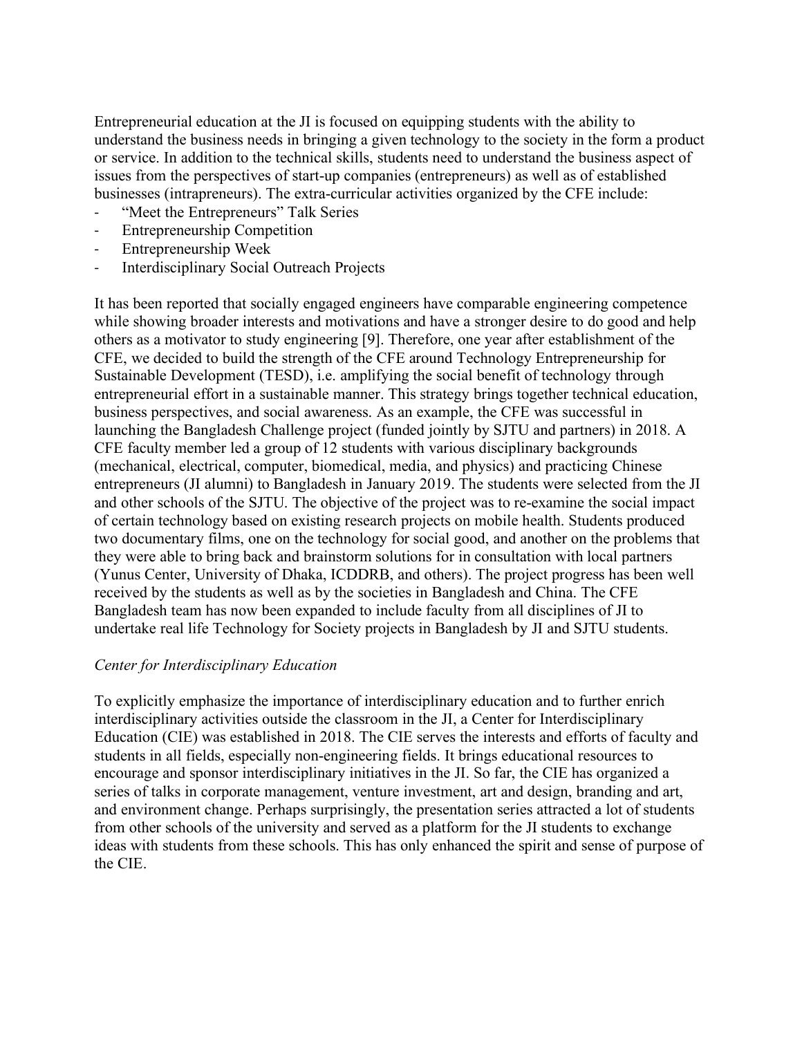Entrepreneurial education at the JI is focused on equipping students with the ability to understand the business needs in bringing a given technology to the society in the form a product or service. In addition to the technical skills, students need to understand the business aspect of issues from the perspectives of start-up companies (entrepreneurs) as well as of established businesses (intrapreneurs). The extra-curricular activities organized by the CFE include:

- "Meet the Entrepreneurs" Talk Series
- Entrepreneurship Competition
- Entrepreneurship Week
- Interdisciplinary Social Outreach Projects

It has been reported that socially engaged engineers have comparable engineering competence while showing broader interests and motivations and have a stronger desire to do good and help others as a motivator to study engineering [9]. Therefore, one year after establishment of the CFE, we decided to build the strength of the CFE around Technology Entrepreneurship for Sustainable Development (TESD), i.e. amplifying the social benefit of technology through entrepreneurial effort in a sustainable manner. This strategy brings together technical education, business perspectives, and social awareness. As an example, the CFE was successful in launching the Bangladesh Challenge project (funded jointly by SJTU and partners) in 2018. A CFE faculty member led a group of 12 students with various disciplinary backgrounds (mechanical, electrical, computer, biomedical, media, and physics) and practicing Chinese entrepreneurs (JI alumni) to Bangladesh in January 2019. The students were selected from the JI and other schools of the SJTU. The objective of the project was to re-examine the social impact of certain technology based on existing research projects on mobile health. Students produced two documentary films, one on the technology for social good, and another on the problems that they were able to bring back and brainstorm solutions for in consultation with local partners (Yunus Center, University of Dhaka, ICDDRB, and others). The project progress has been well received by the students as well as by the societies in Bangladesh and China. The CFE Bangladesh team has now been expanded to include faculty from all disciplines of JI to undertake real life Technology for Society projects in Bangladesh by JI and SJTU students.

#### *Center for Interdisciplinary Education*

To explicitly emphasize the importance of interdisciplinary education and to further enrich interdisciplinary activities outside the classroom in the JI, a Center for Interdisciplinary Education (CIE) was established in 2018. The CIE serves the interests and efforts of faculty and students in all fields, especially non-engineering fields. It brings educational resources to encourage and sponsor interdisciplinary initiatives in the JI. So far, the CIE has organized a series of talks in corporate management, venture investment, art and design, branding and art, and environment change. Perhaps surprisingly, the presentation series attracted a lot of students from other schools of the university and served as a platform for the JI students to exchange ideas with students from these schools. This has only enhanced the spirit and sense of purpose of the CIE.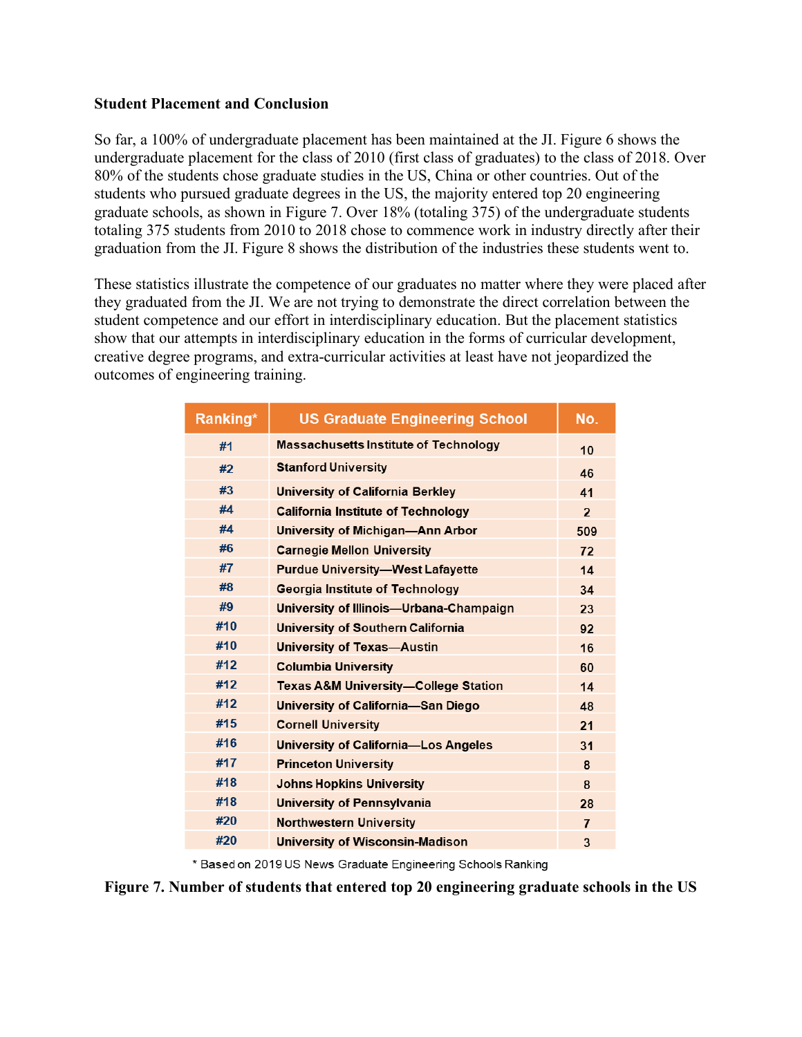#### **Student Placement and Conclusion**

So far, a 100% of undergraduate placement has been maintained at the JI. Figure 6 shows the undergraduate placement for the class of 2010 (first class of graduates) to the class of 2018. Over 80% of the students chose graduate studies in the US, China or other countries. Out of the students who pursued graduate degrees in the US, the majority entered top 20 engineering graduate schools, as shown in Figure 7. Over 18% (totaling 375) of the undergraduate students totaling 375 students from 2010 to 2018 chose to commence work in industry directly after their graduation from the JI. Figure 8 shows the distribution of the industries these students went to.

These statistics illustrate the competence of our graduates no matter where they were placed after they graduated from the JI. We are not trying to demonstrate the direct correlation between the student competence and our effort in interdisciplinary education. But the placement statistics show that our attempts in interdisciplinary education in the forms of curricular development, creative degree programs, and extra-curricular activities at least have not jeopardized the outcomes of engineering training.

| Ranking* | <b>US Graduate Engineering School</b>           | No.            |
|----------|-------------------------------------------------|----------------|
| #1       | <b>Massachusetts Institute of Technology</b>    | 10             |
| #2       | <b>Stanford University</b>                      | 46             |
| #3       | <b>University of California Berkley</b>         | 41             |
| #4       | <b>California Institute of Technology</b>       | $\overline{2}$ |
| #4       | University of Michigan-Ann Arbor                | 509            |
| #6       | <b>Carnegie Mellon University</b>               | 72             |
| #7       | <b>Purdue University-West Lafayette</b>         | 14             |
| #8       | <b>Georgia Institute of Technology</b>          | 34             |
| #9       | University of Illinois-Urbana-Champaign         | 23             |
| #10      | <b>University of Southern California</b>        | 92             |
| #10      | <b>University of Texas-Austin</b>               | 16             |
| #12      | <b>Columbia University</b>                      | 60             |
| #12      | <b>Texas A&amp;M University-College Station</b> | 14             |
| #12      | <b>University of California-San Diego</b>       | 48             |
| #15      | <b>Cornell University</b>                       | 21             |
| #16      | <b>University of California-Los Angeles</b>     | 31             |
| #17      | <b>Princeton University</b>                     | 8              |
| #18      | <b>Johns Hopkins University</b>                 | 8              |
| #18      | University of Pennsylvania                      | 28             |
| #20      | <b>Northwestern University</b>                  | $\overline{7}$ |
| #20      | <b>University of Wisconsin-Madison</b>          | 3              |

\* Based on 2019 US News Graduate Engineering Schools Ranking

**Figure 7. Number of students that entered top 20 engineering graduate schools in the US**